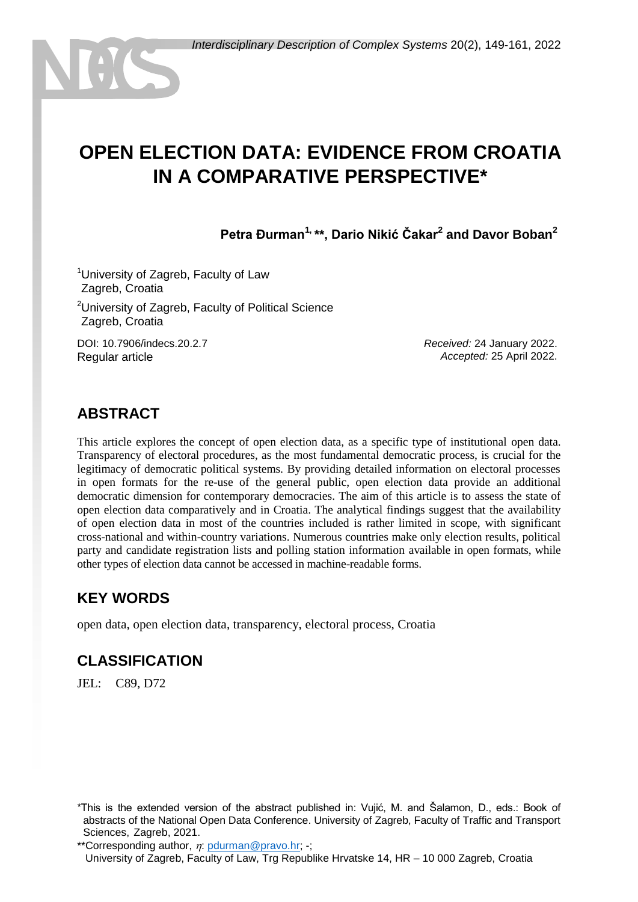# **OPEN ELECTION DATA: EVIDENCE FROM CROATIA IN A COMPARATIVE PERSPECTIVE\***

**Petra Đurman1, \*\*, Dario Nikić Čakar<sup>2</sup> and Davor Boban<sup>2</sup>**

<sup>1</sup>University of Zagreb, Faculty of Law Zagreb, Croatia

<sup>2</sup>University of Zagreb, Faculty of Political Science Zagreb, Croatia

DOI: 10.7906/indecs.20.2.7 Regular article

*Received:* 24 January 2022. *Accepted:* 25 April 2022.

#### **ABSTRACT**

This article explores the concept of open election data, as a specific type of institutional open data. Transparency of electoral procedures, as the most fundamental democratic process, is crucial for the legitimacy of democratic political systems. By providing detailed information on electoral processes in open formats for the re-use of the general public, open election data provide an additional democratic dimension for contemporary democracies. The aim of this article is to assess the state of open election data comparatively and in Croatia. The analytical findings suggest that the availability of open election data in most of the countries included is rather limited in scope, with significant cross-national and within-country variations. Numerous countries make only election results, political party and candidate registration lists and polling station information available in open formats, while other types of election data cannot be accessed in machine-readable forms.

#### **KEY WORDS**

open data, open election data, transparency, electoral process, Croatia

#### **CLASSIFICATION**

JEL: C89, D72

\*\*Corresponding author,  $\eta$ : [pdurman@pravo.hr;](mailto:pdurman@pravo.hr) -; University of Zagreb, Faculty of Law, Trg Republike Hrvatske 14, HR – 10 000 Zagreb, Croatia

<sup>\*</sup>This is the extended version of the abstract published in: Vujić, M. and Šalamon, D., eds.: Book of abstracts of the National Open Data Conference. University of Zagreb, Faculty of Traffic and Transport Sciences, Zagreb, 2021.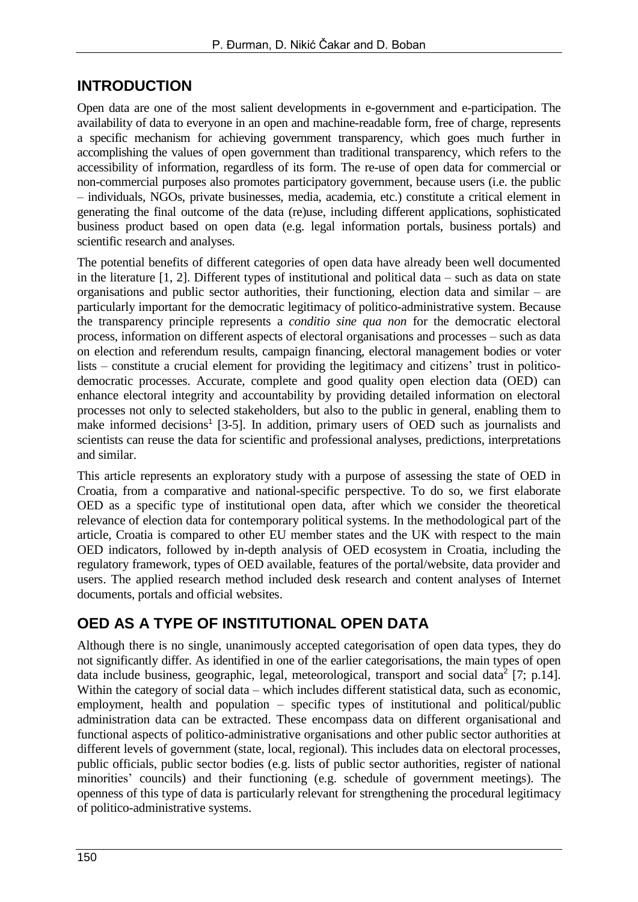#### **INTRODUCTION**

Open data are one of the most salient developments in e-government and e-participation. The availability of data to everyone in an open and machine-readable form, free of charge, represents a specific mechanism for achieving government transparency, which goes much further in accomplishing the values of open government than traditional transparency, which refers to the accessibility of information, regardless of its form. The re-use of open data for commercial or non-commercial purposes also promotes participatory government, because users (i.e. the public – individuals, NGOs, private businesses, media, academia, etc.) constitute a critical element in generating the final outcome of the data (re)use, including different applications, sophisticated business product based on open data (e.g. legal information portals, business portals) and scientific research and analyses.

The potential benefits of different categories of open data have already been well documented in the literature [1, 2]. Different types of institutional and political data – such as data on state organisations and public sector authorities, their functioning, election data and similar – are particularly important for the democratic legitimacy of politico-administrative system. Because the transparency principle represents a *conditio sine qua non* for the democratic electoral process, information on different aspects of electoral organisations and processes – such as data on election and referendum results, campaign financing, electoral management bodies or voter lists – constitute a crucial element for providing the legitimacy and citizens' trust in politicodemocratic processes. Accurate, complete and good quality open election data (OED) can enhance electoral integrity and accountability by providing detailed information on electoral processes not only to selected stakeholders, but also to the public in general, enabling them to make informed decisions<sup>1</sup> [3-5]. In addition, primary users of OED such as journalists and scientists can reuse the data for scientific and professional analyses, predictions, interpretations and similar.

This article represents an exploratory study with a purpose of assessing the state of OED in Croatia, from a comparative and national-specific perspective. To do so, we first elaborate OED as a specific type of institutional open data, after which we consider the theoretical relevance of election data for contemporary political systems. In the methodological part of the article, Croatia is compared to other EU member states and the UK with respect to the main OED indicators, followed by in-depth analysis of OED ecosystem in Croatia, including the regulatory framework, types of OED available, features of the portal/website, data provider and users. The applied research method included desk research and content analyses of Internet documents, portals and official websites.

# **OED AS A TYPE OF INSTITUTIONAL OPEN DATA**

Although there is no single, unanimously accepted categorisation of open data types, they do not significantly differ. As identified in one of the earlier categorisations, the main types of open data include business, geographic, legal, meteorological, transport and social data<sup>2</sup> [7; p.14]. Within the category of social data – which includes different statistical data, such as economic, employment, health and population – specific types of institutional and political/public administration data can be extracted. These encompass data on different organisational and functional aspects of politico-administrative organisations and other public sector authorities at different levels of government (state, local, regional). This includes data on electoral processes, public officials, public sector bodies (e.g. lists of public sector authorities, register of national minorities' councils) and their functioning (e.g. schedule of government meetings). The openness of this type of data is particularly relevant for strengthening the procedural legitimacy of politico-administrative systems.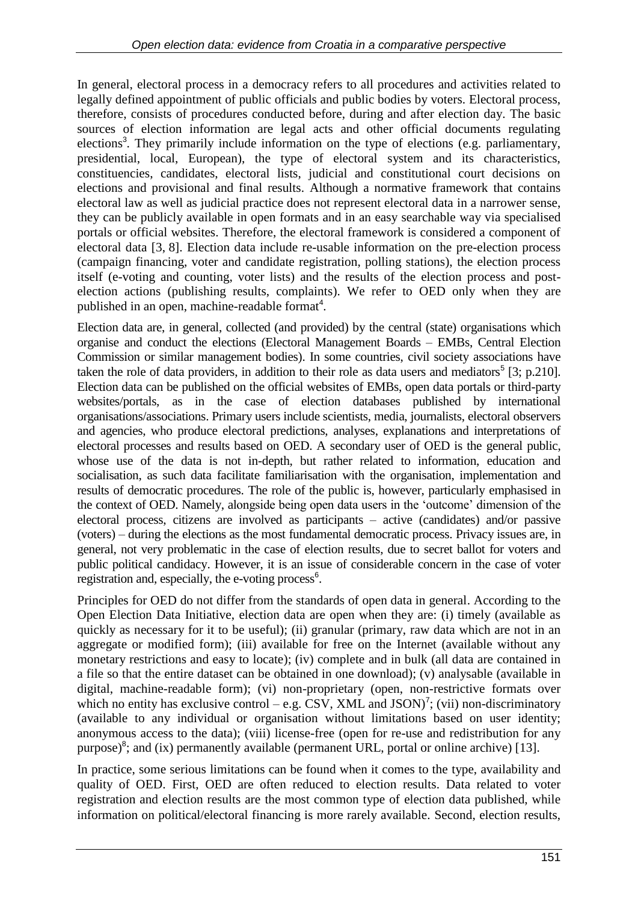In general, electoral process in a democracy refers to all procedures and activities related to legally defined appointment of public officials and public bodies by voters. Electoral process, therefore, consists of procedures conducted before, during and after election day. The basic sources of election information are legal acts and other official documents regulating elections<sup>3</sup>. They primarily include information on the type of elections (e.g. parliamentary, presidential, local, European), the type of electoral system and its characteristics, constituencies, candidates, electoral lists, judicial and constitutional court decisions on elections and provisional and final results. Although a normative framework that contains electoral law as well as judicial practice does not represent electoral data in a narrower sense, they can be publicly available in open formats and in an easy searchable way via specialised portals or official websites. Therefore, the electoral framework is considered a component of electoral data [3, 8]. Election data include re-usable information on the pre-election process (campaign financing, voter and candidate registration, polling stations), the election process itself (e-voting and counting, voter lists) and the results of the election process and postelection actions (publishing results, complaints). We refer to OED only when they are published in an open, machine-readable format<sup>4</sup>.

Election data are, in general, collected (and provided) by the central (state) organisations which organise and conduct the elections (Electoral Management Boards – EMBs, Central Election Commission or similar management bodies). In some countries, civil society associations have taken the role of data providers, in addition to their role as data users and mediators<sup>5</sup> [3; p.210]. Election data can be published on the official websites of EMBs, open data portals or third-party websites/portals, as in the case of election databases published by international organisations/associations. Primary users include scientists, media, journalists, electoral observers and agencies, who produce electoral predictions, analyses, explanations and interpretations of electoral processes and results based on OED. A secondary user of OED is the general public, whose use of the data is not in-depth, but rather related to information, education and socialisation, as such data facilitate familiarisation with the organisation, implementation and results of democratic procedures. The role of the public is, however, particularly emphasised in the context of OED. Namely, alongside being open data users in the 'outcome' dimension of the electoral process, citizens are involved as participants – active (candidates) and/or passive (voters) – during the elections as the most fundamental democratic process. Privacy issues are, in general, not very problematic in the case of election results, due to secret ballot for voters and public political candidacy. However, it is an issue of considerable concern in the case of voter registration and, especially, the e-voting process<sup>6</sup>.

Principles for OED do not differ from the standards of open data in general. According to the Open Election Data Initiative, election data are open when they are: (i) timely (available as quickly as necessary for it to be useful); (ii) granular (primary, raw data which are not in an aggregate or modified form); (iii) available for free on the Internet (available without any monetary restrictions and easy to locate); (iv) complete and in bulk (all data are contained in a file so that the entire dataset can be obtained in one download); (v) analysable (available in digital, machine-readable form); (vi) non-proprietary (open, non-restrictive formats over which no entity has exclusive control – e.g. CSV, XML and JSON)<sup>7</sup>; (vii) non-discriminatory (available to any individual or organisation without limitations based on user identity; anonymous access to the data); (viii) license-free (open for re-use and redistribution for any purpose)<sup>8</sup>; and (ix) permanently available (permanent URL, portal or online archive) [13].

In practice, some serious limitations can be found when it comes to the type, availability and quality of OED. First, OED are often reduced to election results. Data related to voter registration and election results are the most common type of election data published, while information on political/electoral financing is more rarely available. Second, election results,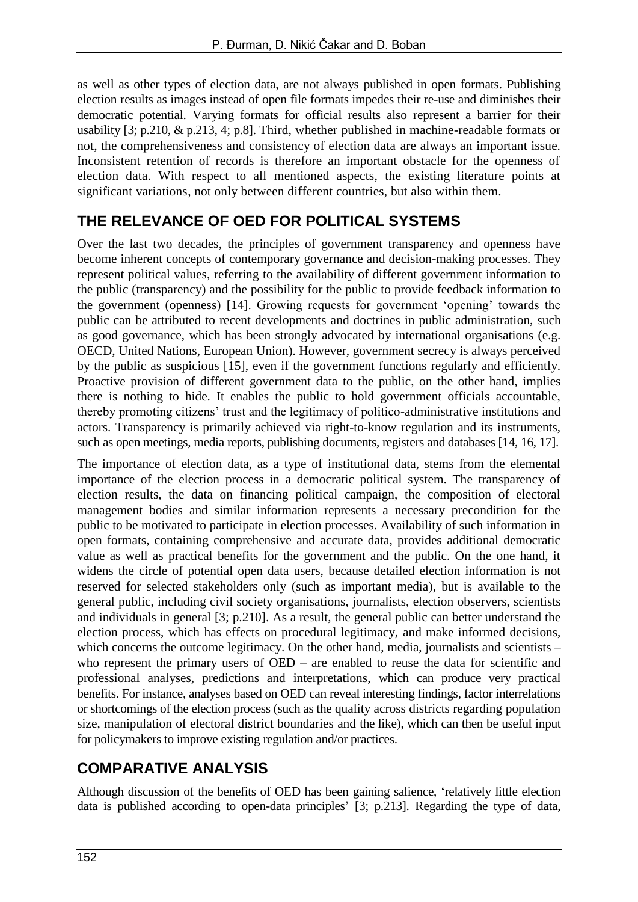as well as other types of election data, are not always published in open formats. Publishing election results as images instead of open file formats impedes their re-use and diminishes their democratic potential. Varying formats for official results also represent a barrier for their usability [3; p.210, & p.213, 4; p.8]. Third, whether published in machine-readable formats or not, the comprehensiveness and consistency of election data are always an important issue. Inconsistent retention of records is therefore an important obstacle for the openness of election data. With respect to all mentioned aspects, the existing literature points at significant variations, not only between different countries, but also within them.

### **THE RELEVANCE OF OED FOR POLITICAL SYSTEMS**

Over the last two decades, the principles of government transparency and openness have become inherent concepts of contemporary governance and decision-making processes. They represent political values, referring to the availability of different government information to the public (transparency) and the possibility for the public to provide feedback information to the government (openness) [14]. Growing requests for government 'opening' towards the public can be attributed to recent developments and doctrines in public administration, such as good governance, which has been strongly advocated by international organisations (e.g. OECD, United Nations, European Union). However, government secrecy is always perceived by the public as suspicious [15], even if the government functions regularly and efficiently. Proactive provision of different government data to the public, on the other hand, implies there is nothing to hide. It enables the public to hold government officials accountable, thereby promoting citizens' trust and the legitimacy of politico-administrative institutions and actors. Transparency is primarily achieved via right-to-know regulation and its instruments, such as open meetings, media reports, publishing documents, registers and databases [14, 16, 17].

The importance of election data, as a type of institutional data, stems from the elemental importance of the election process in a democratic political system. The transparency of election results, the data on financing political campaign, the composition of electoral management bodies and similar information represents a necessary precondition for the public to be motivated to participate in election processes. Availability of such information in open formats, containing comprehensive and accurate data, provides additional democratic value as well as practical benefits for the government and the public. On the one hand, it widens the circle of potential open data users, because detailed election information is not reserved for selected stakeholders only (such as important media), but is available to the general public, including civil society organisations, journalists, election observers, scientists and individuals in general [3; p.210]. As a result, the general public can better understand the election process, which has effects on procedural legitimacy, and make informed decisions, which concerns the outcome legitimacy. On the other hand, media, journalists and scientists – who represent the primary users of OED – are enabled to reuse the data for scientific and professional analyses, predictions and interpretations, which can produce very practical benefits. For instance, analyses based on OED can reveal interesting findings, factor interrelations or shortcomings of the election process (such as the quality across districts regarding population size, manipulation of electoral district boundaries and the like), which can then be useful input for policymakers to improve existing regulation and/or practices.

# **COMPARATIVE ANALYSIS**

Although discussion of the benefits of OED has been gaining salience, 'relatively little election data is published according to open-data principles' [3; p.213]. Regarding the type of data,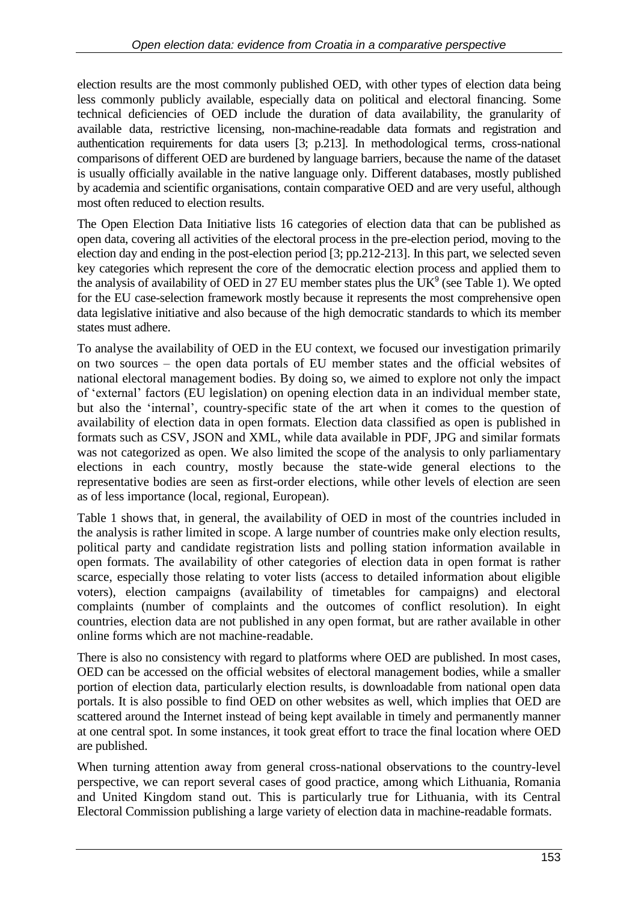election results are the most commonly published OED, with other types of election data being less commonly publicly available, especially data on political and electoral financing. Some technical deficiencies of OED include the duration of data availability, the granularity of available data, restrictive licensing, non-machine-readable data formats and registration and authentication requirements for data users [3; p.213]. In methodological terms, cross-national comparisons of different OED are burdened by language barriers, because the name of the dataset is usually officially available in the native language only. Different databases, mostly published by academia and scientific organisations, contain comparative OED and are very useful, although most often reduced to election results.

The Open Election Data Initiative lists 16 categories of election data that can be published as open data, covering all activities of the electoral process in the pre-election period, moving to the election day and ending in the post-election period [3; pp.212-213]. In this part, we selected seven key categories which represent the core of the democratic election process and applied them to the analysis of availability of OED in 27 EU member states plus the  $UK<sup>9</sup>$  (see Table 1). We opted for the EU case-selection framework mostly because it represents the most comprehensive open data legislative initiative and also because of the high democratic standards to which its member states must adhere.

To analyse the availability of OED in the EU context, we focused our investigation primarily on two sources – the open data portals of EU member states and the official websites of national electoral management bodies. By doing so, we aimed to explore not only the impact of 'external' factors (EU legislation) on opening election data in an individual member state, but also the 'internal', country-specific state of the art when it comes to the question of availability of election data in open formats. Election data classified as open is published in formats such as CSV, JSON and XML, while data available in PDF, JPG and similar formats was not categorized as open. We also limited the scope of the analysis to only parliamentary elections in each country, mostly because the state-wide general elections to the representative bodies are seen as first-order elections, while other levels of election are seen as of less importance (local, regional, European).

Table 1 shows that, in general, the availability of OED in most of the countries included in the analysis is rather limited in scope. A large number of countries make only election results, political party and candidate registration lists and polling station information available in open formats. The availability of other categories of election data in open format is rather scarce, especially those relating to voter lists (access to detailed information about eligible voters), election campaigns (availability of timetables for campaigns) and electoral complaints (number of complaints and the outcomes of conflict resolution). In eight countries, election data are not published in any open format, but are rather available in other online forms which are not machine-readable.

There is also no consistency with regard to platforms where OED are published. In most cases, OED can be accessed on the official websites of electoral management bodies, while a smaller portion of election data, particularly election results, is downloadable from national open data portals. It is also possible to find OED on other websites as well, which implies that OED are scattered around the Internet instead of being kept available in timely and permanently manner at one central spot. In some instances, it took great effort to trace the final location where OED are published.

When turning attention away from general cross-national observations to the country-level perspective, we can report several cases of good practice, among which Lithuania, Romania and United Kingdom stand out. This is particularly true for Lithuania, with its Central Electoral Commission publishing a large variety of election data in machine-readable formats.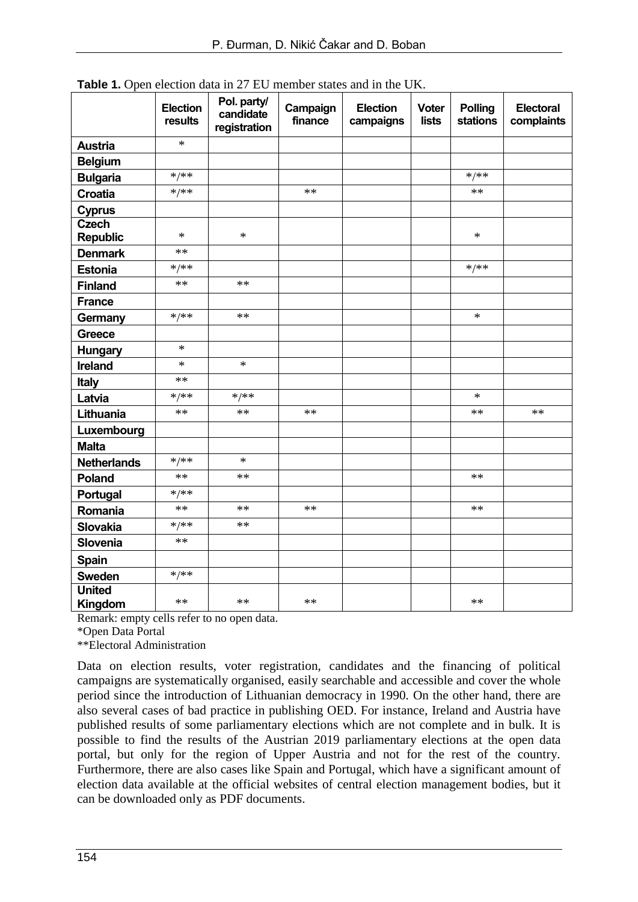|                                 | <b>Election</b><br>results | Pol. party/<br>candidate<br>registration | Campaign<br>finance | <b>Election</b><br>campaigns | <b>Voter</b><br><b>lists</b> | <b>Polling</b><br><b>stations</b> | Electoral<br>complaints |
|---------------------------------|----------------------------|------------------------------------------|---------------------|------------------------------|------------------------------|-----------------------------------|-------------------------|
| <b>Austria</b>                  | $\ast$                     |                                          |                     |                              |                              |                                   |                         |
| <b>Belgium</b>                  |                            |                                          |                     |                              |                              |                                   |                         |
| <b>Bulgaria</b>                 | $*/**$                     |                                          |                     |                              |                              | $*/**$                            |                         |
| <b>Croatia</b>                  | $*/**$                     |                                          | **                  |                              |                              | **                                |                         |
| <b>Cyprus</b>                   |                            |                                          |                     |                              |                              |                                   |                         |
| <b>Czech</b><br><b>Republic</b> | $\ast$                     | ∗                                        |                     |                              |                              | $\ast$                            |                         |
| <b>Denmark</b>                  | $**$                       |                                          |                     |                              |                              |                                   |                         |
| <b>Estonia</b>                  | $*/**$                     |                                          |                     |                              |                              | $*/**$                            |                         |
| <b>Finland</b>                  | $**$                       | $**$                                     |                     |                              |                              |                                   |                         |
| <b>France</b>                   |                            |                                          |                     |                              |                              |                                   |                         |
| Germany                         | $*/**$                     | $**$                                     |                     |                              |                              | $\ast$                            |                         |
| <b>Greece</b>                   |                            |                                          |                     |                              |                              |                                   |                         |
| <b>Hungary</b>                  | $\ast$                     |                                          |                     |                              |                              |                                   |                         |
| <b>Ireland</b>                  | $\ast$                     | $\ast$                                   |                     |                              |                              |                                   |                         |
| <b>Italy</b>                    | $**$                       |                                          |                     |                              |                              |                                   |                         |
| Latvia                          | $*/**$                     | $*/**$                                   |                     |                              |                              | $\ast$                            |                         |
| Lithuania                       | $**$                       | $**$                                     | **                  |                              |                              | **                                | $**$                    |
| Luxembourg                      |                            |                                          |                     |                              |                              |                                   |                         |
| <b>Malta</b>                    |                            |                                          |                     |                              |                              |                                   |                         |
| <b>Netherlands</b>              | $*/**$                     | $\ast$                                   |                     |                              |                              |                                   |                         |
| Poland                          | $**$                       | $**$                                     |                     |                              |                              | **                                |                         |
| Portugal                        | $*/**$                     |                                          |                     |                              |                              |                                   |                         |
| Romania                         | **                         | $**$                                     | $**$                |                              |                              | **                                |                         |
| <b>Slovakia</b>                 | $*/**$                     | $**$                                     |                     |                              |                              |                                   |                         |
| Slovenia                        | $**$                       |                                          |                     |                              |                              |                                   |                         |
| Spain                           |                            |                                          |                     |                              |                              |                                   |                         |
| <b>Sweden</b>                   | $*/**$                     |                                          |                     |                              |                              |                                   |                         |
| <b>United</b><br>Kingdom        | **                         | $**$                                     | **                  |                              |                              | **                                |                         |

**Table 1.** Open election data in 27 EU member states and in the UK.

Remark: empty cells refer to no open data.

\*Open Data Portal

\*\*Electoral Administration

Data on election results, voter registration, candidates and the financing of political campaigns are systematically organised, easily searchable and accessible and cover the whole period since the introduction of Lithuanian democracy in 1990. On the other hand, there are also several cases of bad practice in publishing OED. For instance, Ireland and Austria have published results of some parliamentary elections which are not complete and in bulk. It is possible to find the results of the Austrian 2019 parliamentary elections at the open data portal, but only for the region of Upper Austria and not for the rest of the country. Furthermore, there are also cases like Spain and Portugal, which have a significant amount of election data available at the official websites of central election management bodies, but it can be downloaded only as PDF documents.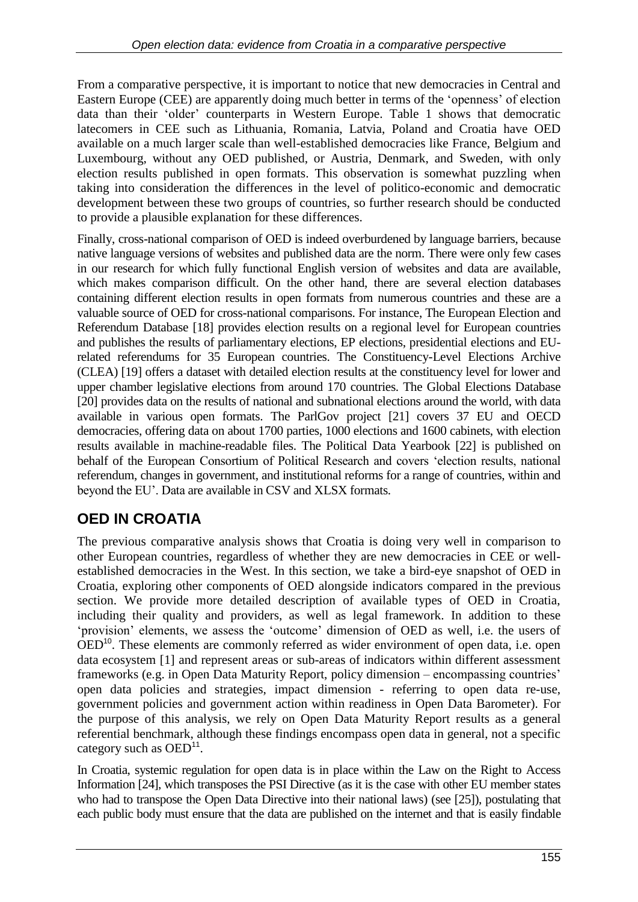From a comparative perspective, it is important to notice that new democracies in Central and Eastern Europe (CEE) are apparently doing much better in terms of the 'openness' of election data than their 'older' counterparts in Western Europe. Table 1 shows that democratic latecomers in CEE such as Lithuania, Romania, Latvia, Poland and Croatia have OED available on a much larger scale than well-established democracies like France, Belgium and Luxembourg, without any OED published, or Austria, Denmark, and Sweden, with only election results published in open formats. This observation is somewhat puzzling when taking into consideration the differences in the level of politico-economic and democratic development between these two groups of countries, so further research should be conducted to provide a plausible explanation for these differences.

Finally, cross-national comparison of OED is indeed overburdened by language barriers, because native language versions of websites and published data are the norm. There were only few cases in our research for which fully functional English version of websites and data are available, which makes comparison difficult. On the other hand, there are several election databases containing different election results in open formats from numerous countries and these are a valuable source of OED for cross-national comparisons. For instance, The European Election and Referendum Database [18] provides election results on a regional level for European countries and publishes the results of parliamentary elections, EP elections, presidential elections and EUrelated referendums for 35 European countries. The Constituency-Level Elections Archive (CLEA) [19] offers a dataset with detailed election results at the constituency level for lower and upper chamber legislative elections from around 170 countries. The Global Elections Database [20] provides data on the results of national and subnational elections around the world, with data available in various open formats. The ParlGov project [21] covers 37 EU and OECD democracies, offering data on about 1700 parties, 1000 elections and 1600 cabinets, with election results available in machine-readable files. The Political Data Yearbook [22] is published on behalf of the European Consortium of Political Research and covers 'election results, national referendum, changes in government, and institutional reforms for a range of countries, within and beyond the EU'. Data are available in CSV and XLSX formats.

# **OED IN CROATIA**

The previous comparative analysis shows that Croatia is doing very well in comparison to other European countries, regardless of whether they are new democracies in CEE or wellestablished democracies in the West. In this section, we take a bird-eye snapshot of OED in Croatia, exploring other components of OED alongside indicators compared in the previous section. We provide more detailed description of available types of OED in Croatia, including their quality and providers, as well as legal framework. In addition to these 'provision' elements, we assess the 'outcome' dimension of OED as well, i.e. the users of OED<sup>10</sup>. These elements are commonly referred as wider environment of open data, i.e. open data ecosystem [1] and represent areas or sub-areas of indicators within different assessment frameworks (e.g. in Open Data Maturity Report, policy dimension – encompassing countries' open data policies and strategies, impact dimension - referring to open data re-use, government policies and government action within readiness in Open Data Barometer). For the purpose of this analysis, we rely on Open Data Maturity Report results as a general referential benchmark, although these findings encompass open data in general, not a specific category such as  $OED<sup>11</sup>$ .

In Croatia, systemic regulation for open data is in place within the Law on the Right to Access Information [24], which transposes the PSI Directive (as it is the case with other EU member states who had to transpose the Open Data Directive into their national laws) (see [25]), postulating that each public body must ensure that the data are published on the internet and that is easily findable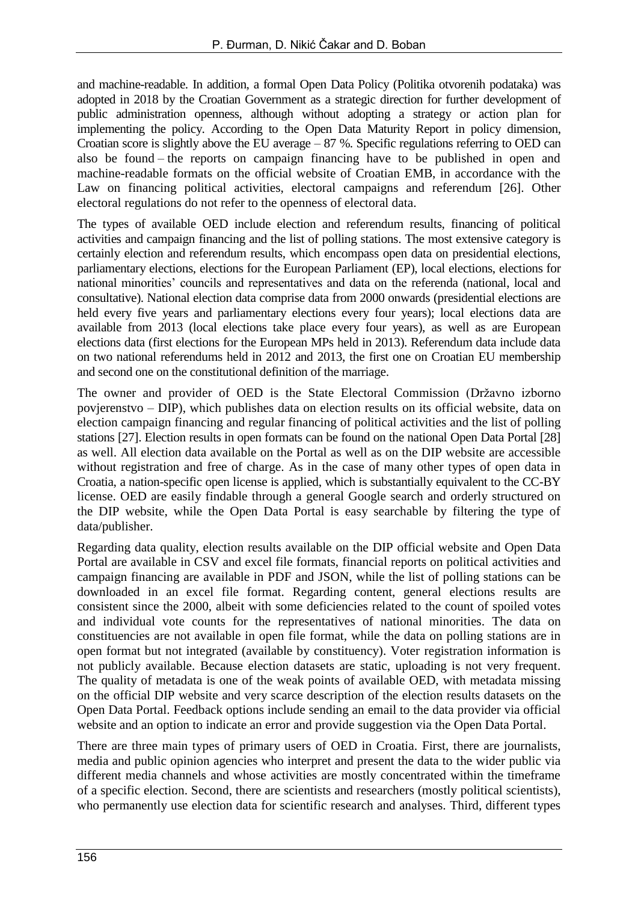and machine-readable. In addition, a formal Open Data Policy (Politika otvorenih podataka) was adopted in 2018 by the Croatian Government as a strategic direction for further development of public administration openness, although without adopting a strategy or action plan for implementing the policy. According to the Open Data Maturity Report in policy dimension, Croatian score is slightly above the EU average – 87 %. Specific regulations referring to OED can also be found – the reports on campaign financing have to be published in open and machine-readable formats on the official website of Croatian EMB, in accordance with the Law on financing political activities, electoral campaigns and referendum [26]. Other electoral regulations do not refer to the openness of electoral data.

The types of available OED include election and referendum results, financing of political activities and campaign financing and the list of polling stations. The most extensive category is certainly election and referendum results, which encompass open data on presidential elections, parliamentary elections, elections for the European Parliament (EP), local elections, elections for national minorities' councils and representatives and data on the referenda (national, local and consultative). National election data comprise data from 2000 onwards (presidential elections are held every five years and parliamentary elections every four years); local elections data are available from 2013 (local elections take place every four years), as well as are European elections data (first elections for the European MPs held in 2013). Referendum data include data on two national referendums held in 2012 and 2013, the first one on Croatian EU membership and second one on the constitutional definition of the marriage.

The owner and provider of OED is the State Electoral Commission (Državno izborno povjerenstvo – DIP), which publishes data on election results on its official website, data on election campaign financing and regular financing of political activities and the list of polling stations [27]. Election results in open formats can be found on the national Open Data Portal [28] as well. All election data available on the Portal as well as on the DIP website are accessible without registration and free of charge. As in the case of many other types of open data in Croatia, a nation-specific open license is applied, which is substantially equivalent to the CC-BY license. OED are easily findable through a general Google search and orderly structured on the DIP website, while the Open Data Portal is easy searchable by filtering the type of data/publisher.

Regarding data quality, election results available on the DIP official website and Open Data Portal are available in CSV and excel file formats, financial reports on political activities and campaign financing are available in PDF and JSON, while the list of polling stations can be downloaded in an excel file format. Regarding content, general elections results are consistent since the 2000, albeit with some deficiencies related to the count of spoiled votes and individual vote counts for the representatives of national minorities. The data on constituencies are not available in open file format, while the data on polling stations are in open format but not integrated (available by constituency). Voter registration information is not publicly available. Because election datasets are static, uploading is not very frequent. The quality of metadata is one of the weak points of available OED, with metadata missing on the official DIP website and very scarce description of the election results datasets on the Open Data Portal. Feedback options include sending an email to the data provider via official website and an option to indicate an error and provide suggestion via the Open Data Portal.

There are three main types of primary users of OED in Croatia. First, there are journalists, media and public opinion agencies who interpret and present the data to the wider public via different media channels and whose activities are mostly concentrated within the timeframe of a specific election. Second, there are scientists and researchers (mostly political scientists), who permanently use election data for scientific research and analyses. Third, different types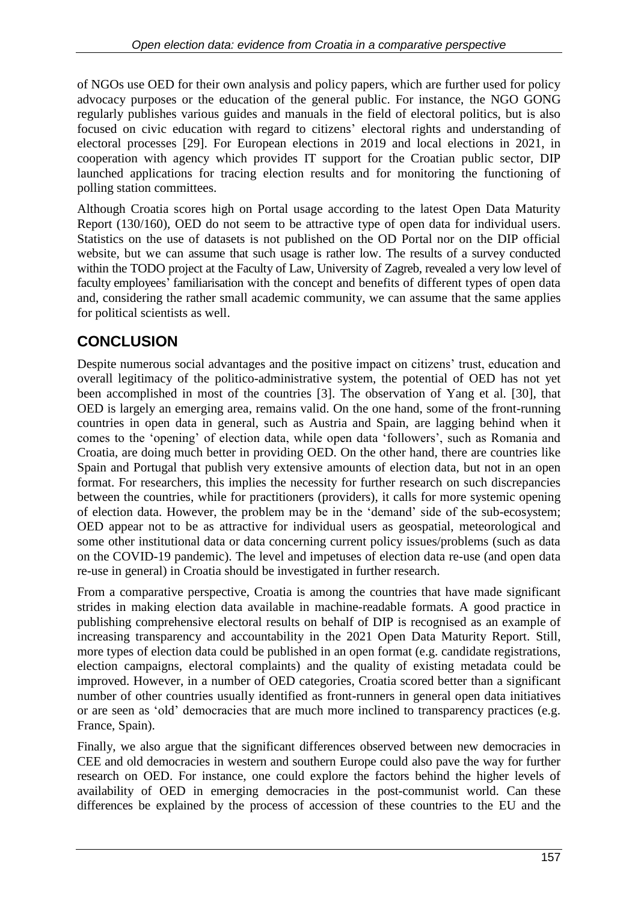of NGOs use OED for their own analysis and policy papers, which are further used for policy advocacy purposes or the education of the general public. For instance, the NGO GONG regularly publishes various guides and manuals in the field of electoral politics, but is also focused on civic education with regard to citizens' electoral rights and understanding of electoral processes [29]. For European elections in 2019 and local elections in 2021, in cooperation with agency which provides IT support for the Croatian public sector, DIP launched applications for tracing election results and for monitoring the functioning of polling station committees.

Although Croatia scores high on Portal usage according to the latest Open Data Maturity Report (130/160), OED do not seem to be attractive type of open data for individual users. Statistics on the use of datasets is not published on the OD Portal nor on the DIP official website, but we can assume that such usage is rather low. The results of a survey conducted within the TODO project at the Faculty of Law, University of Zagreb, revealed a very low level of faculty employees' familiarisation with the concept and benefits of different types of open data and, considering the rather small academic community, we can assume that the same applies for political scientists as well.

# **CONCLUSION**

Despite numerous social advantages and the positive impact on citizens' trust, education and overall legitimacy of the politico-administrative system, the potential of OED has not yet been accomplished in most of the countries [3]. The observation of Yang et al. [30], that OED is largely an emerging area, remains valid. On the one hand, some of the front-running countries in open data in general, such as Austria and Spain, are lagging behind when it comes to the 'opening' of election data, while open data 'followers', such as Romania and Croatia, are doing much better in providing OED. On the other hand, there are countries like Spain and Portugal that publish very extensive amounts of election data, but not in an open format. For researchers, this implies the necessity for further research on such discrepancies between the countries, while for practitioners (providers), it calls for more systemic opening of election data. However, the problem may be in the 'demand' side of the sub-ecosystem; OED appear not to be as attractive for individual users as geospatial, meteorological and some other institutional data or data concerning current policy issues/problems (such as data on the COVID-19 pandemic). The level and impetuses of election data re-use (and open data re-use in general) in Croatia should be investigated in further research.

From a comparative perspective, Croatia is among the countries that have made significant strides in making election data available in machine-readable formats. A good practice in publishing comprehensive electoral results on behalf of DIP is recognised as an example of increasing transparency and accountability in the 2021 Open Data Maturity Report. Still, more types of election data could be published in an open format (e.g. candidate registrations, election campaigns, electoral complaints) and the quality of existing metadata could be improved. However, in a number of OED categories, Croatia scored better than a significant number of other countries usually identified as front-runners in general open data initiatives or are seen as 'old' democracies that are much more inclined to transparency practices (e.g. France, Spain).

Finally, we also argue that the significant differences observed between new democracies in CEE and old democracies in western and southern Europe could also pave the way for further research on OED. For instance, one could explore the factors behind the higher levels of availability of OED in emerging democracies in the post-communist world. Can these differences be explained by the process of accession of these countries to the EU and the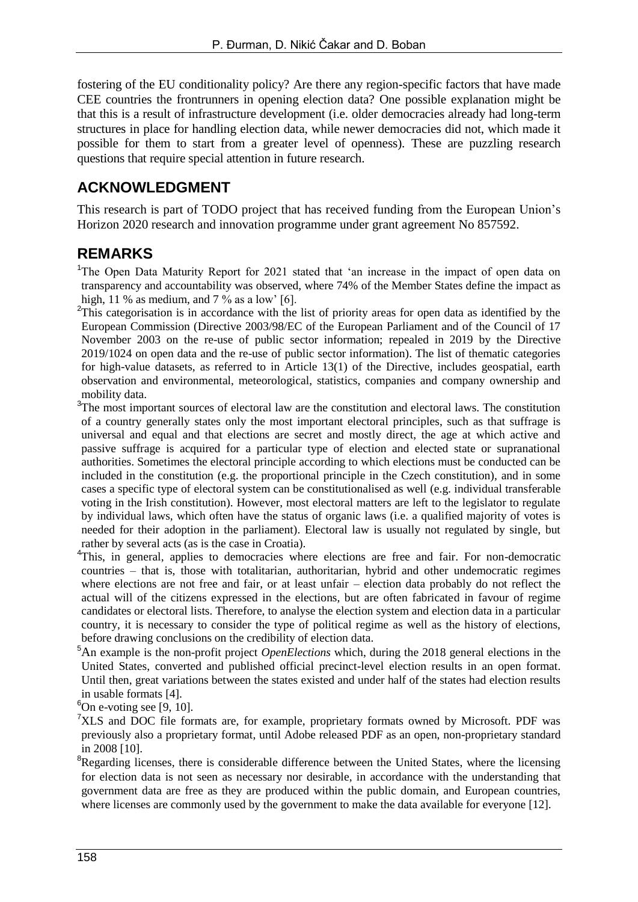fostering of the EU conditionality policy? Are there any region-specific factors that have made CEE countries the frontrunners in opening election data? One possible explanation might be that this is a result of infrastructure development (i.e. older democracies already had long-term structures in place for handling election data, while newer democracies did not, which made it possible for them to start from a greater level of openness). These are puzzling research questions that require special attention in future research.

### **ACKNOWLEDGMENT**

This research is part of TODO project that has received funding from the European Union's Horizon 2020 research and innovation programme under grant agreement No 857592.

### **REMARKS**

<sup>1</sup>The Open Data Maturity Report for 2021 stated that 'an increase in the impact of open data on transparency and accountability was observed, where 74% of the Member States define the impact as high, 11 % as medium, and 7 % as a low' [6].

 $2$ This categorisation is in accordance with the list of priority areas for open data as identified by the European Commission (Directive 2003/98/EC of the European Parliament and of the Council of 17 November 2003 on the re-use of public sector information; repealed in 2019 by the Directive 2019/1024 on open data and the re-use of public sector information). The list of thematic categories for high-value datasets, as referred to in Article 13(1) of the Directive, includes geospatial, earth observation and environmental, meteorological, statistics, companies and company ownership and mobility data.

- <sup>3</sup>The most important sources of electoral law are the constitution and electoral laws. The constitution of a country generally states only the most important electoral principles, such as that suffrage is universal and equal and that elections are secret and mostly direct, the age at which active and passive suffrage is acquired for a particular type of election and elected state or supranational authorities. Sometimes the electoral principle according to which elections must be conducted can be included in the constitution (e.g. the proportional principle in the Czech constitution), and in some cases a specific type of electoral system can be constitutionalised as well (e.g. individual transferable voting in the Irish constitution). However, most electoral matters are left to the legislator to regulate by individual laws, which often have the status of organic laws (i.e. a qualified majority of votes is needed for their adoption in the parliament). Electoral law is usually not regulated by single, but rather by several acts (as is the case in Croatia).
- <sup>4</sup>This, in general, applies to democracies where elections are free and fair. For non-democratic countries – that is, those with totalitarian, authoritarian, hybrid and other undemocratic regimes where elections are not free and fair, or at least unfair – election data probably do not reflect the actual will of the citizens expressed in the elections, but are often fabricated in favour of regime candidates or electoral lists. Therefore, to analyse the election system and election data in a particular country, it is necessary to consider the type of political regime as well as the history of elections, before drawing conclusions on the credibility of election data.
- <sup>5</sup>An example is the non-profit project *OpenElections* which, during the 2018 general elections in the United States, converted and published official precinct-level election results in an open format. Until then, great variations between the states existed and under half of the states had election results in usable formats [4].
- ${}^{6}$ On e-voting see [9, 10].
- <sup>7</sup>XLS and DOC file formats are, for example, proprietary formats owned by Microsoft. PDF was previously also a proprietary format, until Adobe released PDF as an open, non-proprietary standard in 2008 [10].
- ${}^{8}$ Regarding licenses, there is considerable difference between the United States, where the licensing for election data is not seen as necessary nor desirable, in accordance with the understanding that government data are free as they are produced within the public domain, and European countries, where licenses are commonly used by the government to make the data available for everyone [12].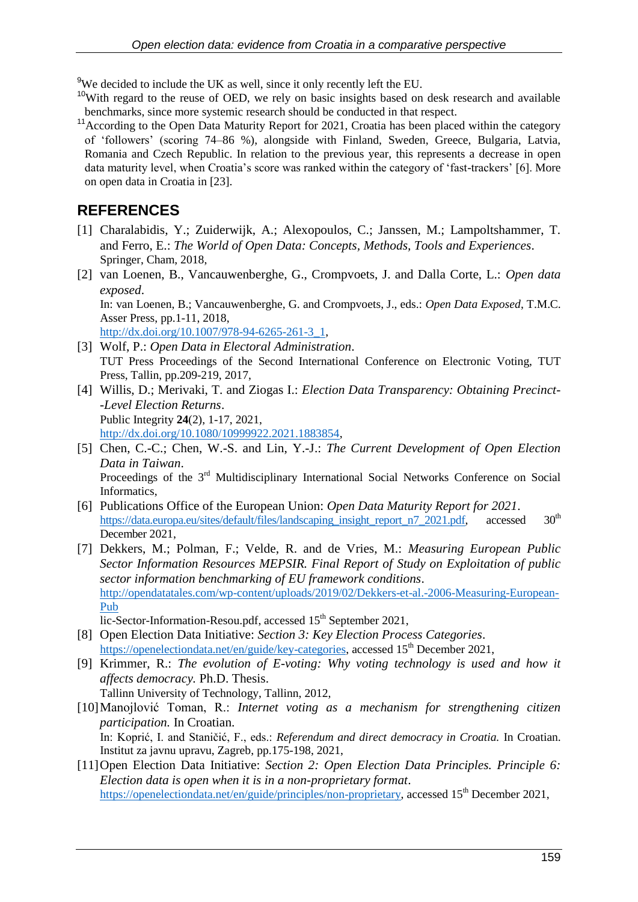<sup>9</sup>We decided to include the UK as well, since it only recently left the EU.

- $10$ With regard to the reuse of OED, we rely on basic insights based on desk research and available benchmarks, since more systemic research should be conducted in that respect.
- <sup>11</sup> According to the Open Data Maturity Report for 2021, Croatia has been placed within the category of 'followers' (scoring 74–86 %), alongside with Finland, Sweden, Greece, Bulgaria, Latvia, Romania and Czech Republic. In relation to the previous year, this represents a decrease in open data maturity level, when Croatia's score was ranked within the category of 'fast-trackers' [6]. More on open data in Croatia in [23].

### **REFERENCES**

- [1] Charalabidis, Y.; Zuiderwijk, A.; Alexopoulos, C.; Janssen, M.; Lampoltshammer, T. and Ferro, E.: *The World of Open Data: Concepts, Methods, Tools and Experiences*. Springer, Cham, 2018,
- [2] van Loenen, B., Vancauwenberghe, G., Crompvoets, J. and Dalla Corte, L.: *Open data exposed*. In: van Loenen, B.; Vancauwenberghe, G. and Crompvoets, J., eds.: *Open Data Exposed*, T.M.C. Asser Press, pp.1-11, 2018,

[http://dx.doi.org/10.1007/978-94-6265-261-3\\_1,](http://dx.doi.org/10.1007/978-94-6265-261-3_1)

- [3] Wolf, P.: *Open Data in Electoral Administration*. TUT Press Proceedings of the Second International Conference on Electronic Voting, TUT Press, Tallin, pp.209-219, 2017,
- [4] Willis, D.; Merivaki, T. and Ziogas I.: *Election Data Transparency: Obtaining Precinct- -Level Election Returns*. Public Integrity **24**(2), 1-17, 2021, [http://dx.doi.org/10.1080/10999922.2021.1883854,](http://dx.doi.org/10.1080/10999922.2021.1883854)
- [5] Chen, C.-C.; Chen, W.-S. and Lin, Y.-J.: *The Current Development of Open Election Data in Taiwan*. Proceedings of the 3<sup>rd</sup> Multidisciplinary International Social Networks Conference on Social Informatics,
- [6] Publications Office of the European Union: *Open Data Maturity Report for 2021*. [https://data.europa.eu/sites/default/files/landscaping\\_insight\\_report\\_n7\\_2021.pdf,](https://data.europa.eu/sites/default/files/landscaping_insight_report_n7_2021.pdf) accessed 30<sup>th</sup> December 2021,
- [7] Dekkers, M.; Polman, F.; Velde, R. and de Vries, M.: *Measuring European Public Sector Information Resources MEPSIR. Final Report of Study on Exploitation of public sector information benchmarking of EU framework conditions*. [http://opendatatales.com/wp-content/uploads/2019/02/Dekkers-et-al.-2006-Measuring-European-](http://opendatatales.com/wp-content/uploads/2019/02/Dekkers-et-al.-2006-Measuring-European-Pub)[Pub](http://opendatatales.com/wp-content/uploads/2019/02/Dekkers-et-al.-2006-Measuring-European-Pub)

 $\overline{\text{lic}}$ -Sector-Information-Resou.pdf, accessed 15<sup>th</sup> September 2021,

- [8] Open Election Data Initiative: *Section 3: Key Election Process Categories*. [https://openelectiondata.net/en/guide/key-categories,](https://openelectiondata.net/en/guide/key-categories) accessed 15<sup>th</sup> December 2021,
- [9] Krimmer, R.: *The evolution of E-voting: Why voting technology is used and how it affects democracy.* Ph.D. Thesis. Tallinn University of Technology, Tallinn, 2012,
- [10]Manojlović Toman, R.: *Internet voting as a mechanism for strengthening citizen participation.* In Croatian. In: Koprić, I. and Staničić, F., eds.: *Referendum and direct democracy in Croatia.* In Croatian. Institut za javnu upravu, Zagreb, pp.175-198, 2021,
- [11]Open Election Data Initiative: *Section 2: Open Election Data Principles. Principle 6: Election data is open when it is in a non-proprietary format*. [https://openelectiondata.net/en/guide/principles/non-proprietary,](https://openelectiondata.net/en/guide/principles/non-proprietary) accessed 15<sup>th</sup> December 2021.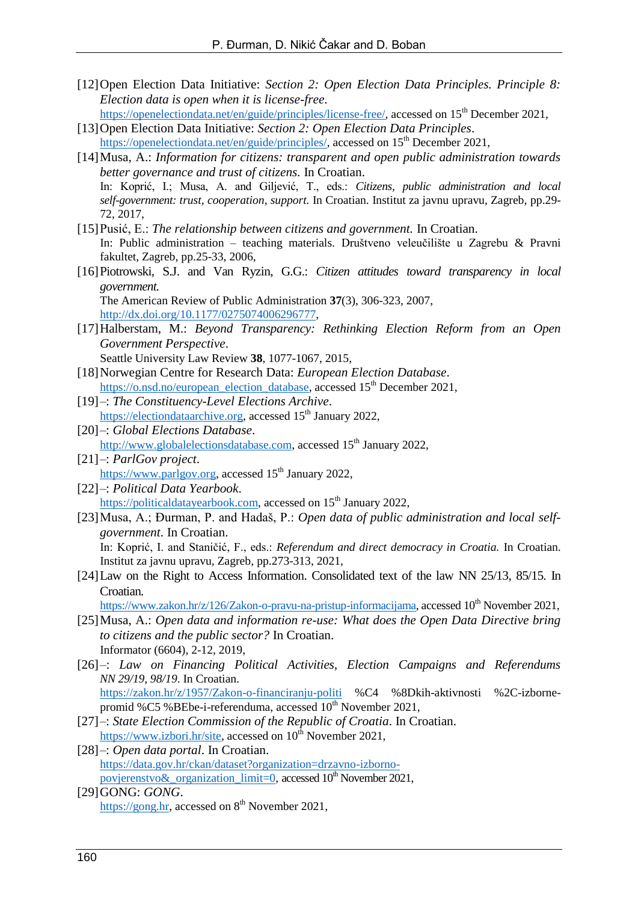- [12]Open Election Data Initiative: *Section 2: Open Election Data Principles. Principle 8: Election data is open when it is license-free*.
- [https://openelectiondata.net/en/guide/principles/license-free/,](https://openelectiondata.net/en/guide/principles/license-free/) accessed on 15<sup>th</sup> December 2021, [13]Open Election Data Initiative: *Section 2: Open Election Data Principles*.
- [https://openelectiondata.net/en/guide/principles/,](https://openelectiondata.net/en/guide/principles/) accessed on 15<sup>th</sup> December 2021,
- [14]Musa, A.: *Information for citizens: transparent and open public administration towards better governance and trust of citizens.* In Croatian. In: Koprić, I.; Musa, A. and Giljević, T., eds.: *Citizens, public administration and local self-government: trust, cooperation, support.* In Croatian. Institut za javnu upravu, Zagreb, pp.29- 72, 2017,
- [15]Pusić, E.: *The relationship between citizens and government.* In Croatian. In: Public administration – teaching materials. Društveno veleučilište u Zagrebu & Pravni fakultet, Zagreb, pp.25-33, 2006,
- [16]Piotrowski, S.J. and Van Ryzin, G.G.: *Citizen attitudes toward transparency in local government.* The American Review of Public Administration **37**(3), 306-323, 2007, [http://dx.doi.org/10.1177/0275074006296777,](http://dx.doi.org/10.1177/0275074006296777)
- [17]Halberstam, M.: *Beyond Transparency: Rethinking Election Reform from an Open Government Perspective*.
	- Seattle University Law Review **38**, 1077-1067, 2015,
- [18]Norwegian Centre for Research Data: *European Election Database*.
	- [https://o.nsd.no/european\\_election\\_database,](https://o.nsd.no/european_election_database) accessed 15<sup>th</sup> December 2021,
- [19]–: *The Constituency-Level Elections Archive*. [https://electiondataarchive.org,](https://electiondataarchive.org/) accessed 15<sup>th</sup> January 2022,
- [20]–: *Global Elections Database*. [http://www.globalelectionsdatabase.com,](http://www.globalelectionsdatabase.com/) accessed 15<sup>th</sup> January 2022,
- [21]–: *ParlGov project*. [https://www.parlgov.org,](https://www.parlgov.org/) accessed 15<sup>th</sup> January 2022,
- [22]–: *Political Data Yearbook*. [https://politicaldatayearbook.com,](https://politicaldatayearbook.com/) accessed on 15<sup>th</sup> January 2022,
- [23]Musa, A.; Đurman, P. and Hadaš, P.: *Open data of public administration and local selfgovernment*. In Croatian.

In: Koprić, I. and Staničić, F., eds.: *Referendum and direct democracy in Croatia.* In Croatian. Institut za javnu upravu, Zagreb, pp.273-313, 2021,

[24]Law on the Right to Access Information. Consolidated text of the law NN 25/13, 85/15. In Croatian.

[https://www.zakon.hr/z/126/Zakon-o-pravu-na-pristup-informacijama,](https://www.zakon.hr/z/126/Zakon-o-pravu-na-pristup-informacijama) accessed 10<sup>th</sup> November 2021,

- [25]Musa, A.: *Open data and information re-use: What does the Open Data Directive bring to citizens and the public sector?* In Croatian. Informator (6604), 2-12, 2019,
- [26]–: *Law on Financing Political Activities, Election Campaigns and Referendums NN 29/19, 98/19*. In Croatian.

<https://zakon.hr/z/1957/Zakon-o-financiranju-politi> %C4 %8Dkih-aktivnosti %2C-izbornepromid %C5 %BEbe-i-referenduma, accessed 10<sup>th</sup> November 2021,

- [27]–: *State Election Commission of the Republic of Croatia*. In Croatian. [https://www.izbori.hr/site,](https://www.izbori.hr/site) accessed on  $10^{th}$  November 2021,
- [28]–: *Open data portal*. In Croatian. [https://data.gov.hr/ckan/dataset?organization=drzavno-izborno](https://data.gov.hr/ckan/dataset?organization=drzavno-izborno-povjerenstvo&_organization_limit=0)povjerenstvo $\&$  organization\_limit=0, accessed 10<sup>th</sup> November 2021,
- [29]GONG: *GONG*. [https://gong.hr,](https://gong.hr/) accessed on  $8<sup>th</sup>$  November 2021,